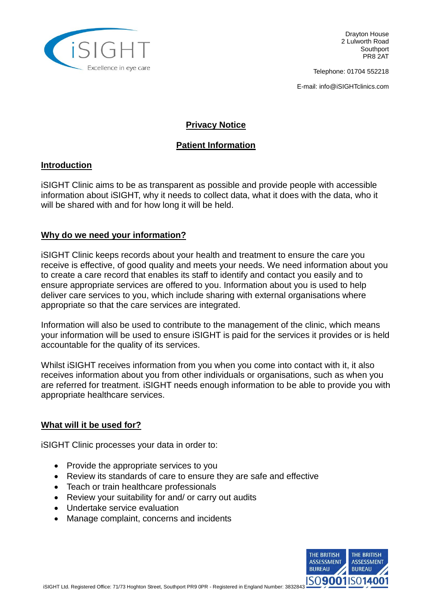

Telephone: 01704 552218

E-mail: info@iSIGHTclinics.com

## **Privacy Notice**

# **Patient Information**

#### **Introduction**

iSIGHT Clinic aims to be as transparent as possible and provide people with accessible information about iSIGHT, why it needs to collect data, what it does with the data, who it will be shared with and for how long it will be held.

### **Why do we need your information?**

iSIGHT Clinic keeps records about your health and treatment to ensure the care you receive is effective, of good quality and meets your needs. We need information about you to create a care record that enables its staff to identify and contact you easily and to ensure appropriate services are offered to you. Information about you is used to help deliver care services to you, which include sharing with external organisations where appropriate so that the care services are integrated.

Information will also be used to contribute to the management of the clinic, which means your information will be used to ensure iSIGHT is paid for the services it provides or is held accountable for the quality of its services.

Whilst iSIGHT receives information from you when you come into contact with it, it also receives information about you from other individuals or organisations, such as when you are referred for treatment. iSIGHT needs enough information to be able to provide you with appropriate healthcare services.

### **What will it be used for?**

iSIGHT Clinic processes your data in order to:

- Provide the appropriate services to you
- Review its standards of care to ensure they are safe and effective
- Teach or train healthcare professionals
- Review your suitability for and/ or carry out audits
- Undertake service evaluation
- Manage complaint, concerns and incidents

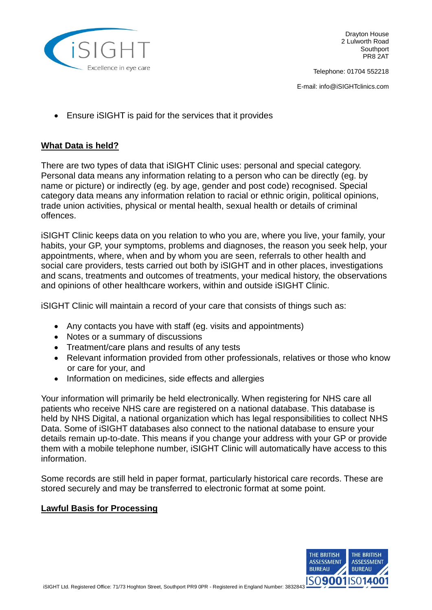

Telephone: 01704 552218

E-mail: info@iSIGHTclinics.com

Ensure iSIGHT is paid for the services that it provides

## **What Data is held?**

There are two types of data that iSIGHT Clinic uses: personal and special category. Personal data means any information relating to a person who can be directly (eg. by name or picture) or indirectly (eg. by age, gender and post code) recognised. Special category data means any information relation to racial or ethnic origin, political opinions, trade union activities, physical or mental health, sexual health or details of criminal offences.

iSIGHT Clinic keeps data on you relation to who you are, where you live, your family, your habits, your GP, your symptoms, problems and diagnoses, the reason you seek help, your appointments, where, when and by whom you are seen, referrals to other health and social care providers, tests carried out both by iSIGHT and in other places, investigations and scans, treatments and outcomes of treatments, your medical history, the observations and opinions of other healthcare workers, within and outside iSIGHT Clinic.

iSIGHT Clinic will maintain a record of your care that consists of things such as:

- Any contacts you have with staff (eq. visits and appointments)
- Notes or a summary of discussions
- Treatment/care plans and results of any tests
- Relevant information provided from other professionals, relatives or those who know or care for your, and
- Information on medicines, side effects and allergies

Your information will primarily be held electronically. When registering for NHS care all patients who receive NHS care are registered on a national database. This database is held by NHS Digital, a national organization which has legal responsibilities to collect NHS Data. Some of iSIGHT databases also connect to the national database to ensure your details remain up-to-date. This means if you change your address with your GP or provide them with a mobile telephone number, iSIGHT Clinic will automatically have access to this information.

Some records are still held in paper format, particularly historical care records. These are stored securely and may be transferred to electronic format at some point.

### **Lawful Basis for Processing**

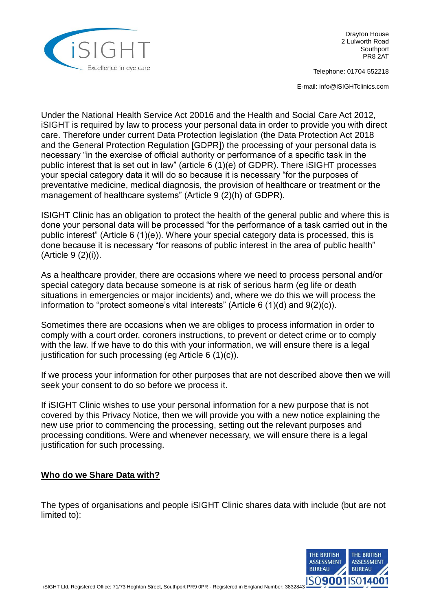

Telephone: 01704 552218

E-mail: info@iSIGHTclinics.com

Under the National Health Service Act 20016 and the Health and Social Care Act 2012, iSIGHT is required by law to process your personal data in order to provide you with direct care. Therefore under current Data Protection legislation (the Data Protection Act 2018 and the General Protection Regulation [GDPR]) the processing of your personal data is necessary "in the exercise of official authority or performance of a specific task in the public interest that is set out in law" (article 6 (1)(e) of GDPR). There iSIGHT processes your special category data it will do so because it is necessary "for the purposes of preventative medicine, medical diagnosis, the provision of healthcare or treatment or the management of healthcare systems" (Article 9 (2)(h) of GDPR).

ISIGHT Clinic has an obligation to protect the health of the general public and where this is done your personal data will be processed "for the performance of a task carried out in the public interest" (Article 6 (1)(e)). Where your special category data is processed, this is done because it is necessary "for reasons of public interest in the area of public health" (Article 9 (2)(i)).

As a healthcare provider, there are occasions where we need to process personal and/or special category data because someone is at risk of serious harm (eg life or death situations in emergencies or major incidents) and, where we do this we will process the information to "protect someone's vital interests" (Article 6 (1)(d) and 9(2)(c)).

Sometimes there are occasions when we are obliges to process information in order to comply with a court order, coroners instructions, to prevent or detect crime or to comply with the law. If we have to do this with your information, we will ensure there is a legal justification for such processing (eg Article  $6(1)(c)$ ).

If we process your information for other purposes that are not described above then we will seek your consent to do so before we process it.

If iSIGHT Clinic wishes to use your personal information for a new purpose that is not covered by this Privacy Notice, then we will provide you with a new notice explaining the new use prior to commencing the processing, setting out the relevant purposes and processing conditions. Were and whenever necessary, we will ensure there is a legal justification for such processing.

### **Who do we Share Data with?**

The types of organisations and people iSIGHT Clinic shares data with include (but are not limited to):

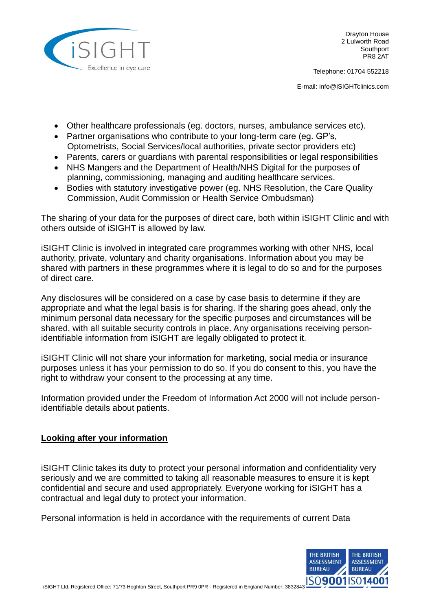

Telephone: 01704 552218

E-mail: info@iSIGHTclinics.com

- Other healthcare professionals (eg. doctors, nurses, ambulance services etc).
- Partner organisations who contribute to your long-term care (eg. GP's, Optometrists, Social Services/local authorities, private sector providers etc)
- Parents, carers or guardians with parental responsibilities or legal responsibilities
- NHS Mangers and the Department of Health/NHS Digital for the purposes of planning, commissioning, managing and auditing healthcare services.
- Bodies with statutory investigative power (eg. NHS Resolution, the Care Quality Commission, Audit Commission or Health Service Ombudsman)

The sharing of your data for the purposes of direct care, both within iSIGHT Clinic and with others outside of iSIGHT is allowed by law.

iSIGHT Clinic is involved in integrated care programmes working with other NHS, local authority, private, voluntary and charity organisations. Information about you may be shared with partners in these programmes where it is legal to do so and for the purposes of direct care.

Any disclosures will be considered on a case by case basis to determine if they are appropriate and what the legal basis is for sharing. If the sharing goes ahead, only the minimum personal data necessary for the specific purposes and circumstances will be shared, with all suitable security controls in place. Any organisations receiving personidentifiable information from iSIGHT are legally obligated to protect it.

iSIGHT Clinic will not share your information for marketing, social media or insurance purposes unless it has your permission to do so. If you do consent to this, you have the right to withdraw your consent to the processing at any time.

Information provided under the Freedom of Information Act 2000 will not include personidentifiable details about patients.

### **Looking after your information**

iSIGHT Clinic takes its duty to protect your personal information and confidentiality very seriously and we are committed to taking all reasonable measures to ensure it is kept confidential and secure and used appropriately. Everyone working for iSIGHT has a contractual and legal duty to protect your information.

Personal information is held in accordance with the requirements of current Data

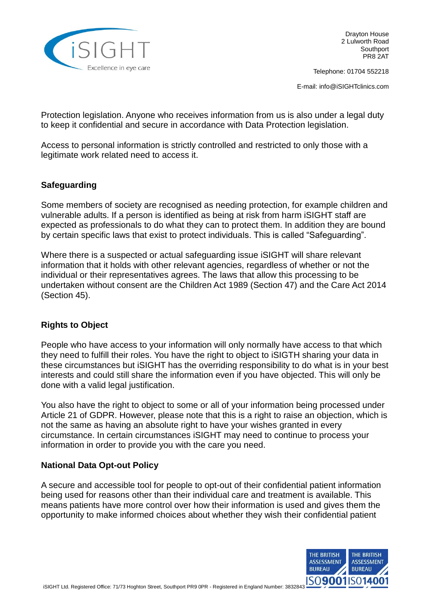

Telephone: 01704 552218

E-mail: info@iSIGHTclinics.com

Protection legislation. Anyone who receives information from us is also under a legal duty to keep it confidential and secure in accordance with Data Protection legislation.

Access to personal information is strictly controlled and restricted to only those with a legitimate work related need to access it.

# **Safeguarding**

Some members of society are recognised as needing protection, for example children and vulnerable adults. If a person is identified as being at risk from harm iSIGHT staff are expected as professionals to do what they can to protect them. In addition they are bound by certain specific laws that exist to protect individuals. This is called "Safeguarding".

Where there is a suspected or actual safeguarding issue iSIGHT will share relevant information that it holds with other relevant agencies, regardless of whether or not the individual or their representatives agrees. The laws that allow this processing to be undertaken without consent are the Children Act 1989 (Section 47) and the Care Act 2014 (Section 45).

### **Rights to Object**

People who have access to your information will only normally have access to that which they need to fulfill their roles. You have the right to object to iSIGTH sharing your data in these circumstances but iSIGHT has the overriding responsibility to do what is in your best interests and could still share the information even if you have objected. This will only be done with a valid legal justification.

You also have the right to object to some or all of your information being processed under Article 21 of GDPR. However, please note that this is a right to raise an objection, which is not the same as having an absolute right to have your wishes granted in every circumstance. In certain circumstances iSIGHT may need to continue to process your information in order to provide you with the care you need.

### **National Data Opt-out Policy**

A secure and accessible tool for people to opt-out of their confidential patient information being used for reasons other than their individual care and treatment is available. This means patients have more control over how their information is used and gives them the opportunity to make informed choices about whether they wish their confidential patient